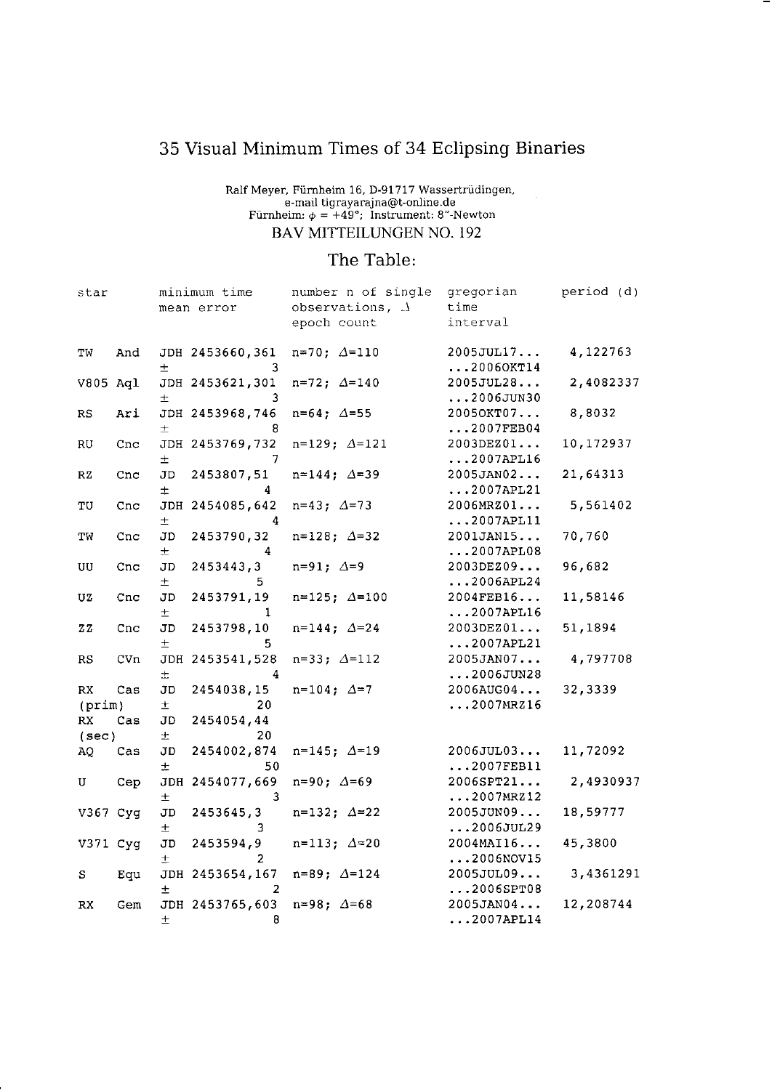## 35 Visual Minimum Times of 34 Eclipsing Binaries

## Ralf Meyer, Fürnheim 16, D-91717 Wassertrüdingen,<br>e-mail tigrayarajna@t-online.de<br>Fürnheim:  $\phi = +49^{\circ}$ ; Instrument: 8"-Newton **BAV MITTEILUNGEN NO. 192**

## The Table:

| star         |        |             | minimum time<br>mean error | number n of single<br>observations, J<br>epoch count | gregorian<br>time<br>interval         | period (d) |
|--------------|--------|-------------|----------------------------|------------------------------------------------------|---------------------------------------|------------|
| тw           | And    | 士           | JDH 2453660,361<br>3       | $n=70$ : $\Delta=110$                                | 2005JUL17<br>$20060$ KT14             | 4,122763   |
| V805 Aql     |        | 士           | JDH 2453621,301<br>3       | $n=72: \Delta=140$                                   | 2005JUL28<br>2006JUN30                | 2,4082337  |
| RS           | Ari    | 土           | JDH 2453968,746<br>8       | $n = 64$ ; $\Delta = 55$                             | 20050KT07<br>$\ldots$ 2007FEB04       | 8,8032     |
| RU           | Cnc    | $\pm$       | JDH 2453769,732<br>7       | $n=129; \Delta=121$                                  | 2003DEZ01<br>2007APL16                | 10,172937  |
| RZ           | Cnc    | JD<br>Ŧ     | 2453807,51<br>4            | $n=144$ ; $\Delta=39$                                | 2005JAN02<br>$\ldots$ 2007APL21       | 21,64313   |
| TU           | Cnc    | 士           | JDH 2454085,642<br>4       | $n=43; \Delta=73$                                    | 2006MRZ01<br>2007APL11                | 5,561402   |
| TW           | Cnc    | JD<br>土     | 2453790,32<br>4            | $n=128$ ; $\Delta=32$                                | 2001JAN15<br>2007APL08                | 70,760     |
| UU           | Cnc    | JD<br>$\pm$ | 2453443,3<br>5             | $n = 91; \Delta = 9$                                 | 2003DEZ09<br>2006APL24                | 96,682     |
| UZ           | Cnc    | JD<br>士     | 2453791,19<br>1            | $n=125; \Delta=100$                                  | $2004$ FEB $16$<br>$\ldots$ 2007APL16 | 11,58146   |
| ZZ           | Cnc    | JD<br>士     | 2453798,10<br>5            | $n=144$ ; $\Delta=24$                                | 2003DEZ01<br>$\ldots$ 2007APL21       | 51,1894    |
| RS           | CVn    | Ŧ.          | JDH 2453541,528<br>4       | $n=33; \Delta=112$                                   | 2005JAN07<br>2006JUN28                | 4,797708   |
| RX<br>(prim) | $\cos$ | JD<br>±.    | 2454038,15<br>20           | $n = 104; \Delta = 7$                                | 2006AUG04<br>$\ldots$ 2007MRZ16       | 32,3339    |
| RX<br>(sec)  | Cas    | JD<br>土     | 2454054,44<br>20           |                                                      |                                       |            |
| AQ           | Cas    | JD<br>$\pm$ | 2454002,874<br>50          | $n=145; \Delta=19$                                   | 2006JUL03<br>$\ldots$ 2007FEB11       | 11,72092   |
| U            | Cep    | $\pm$       | JDH 2454077,669<br>3       | $n = 90; \Delta = 69$                                | 2006SPT21<br>2007MRZ12                | 2,4930937  |
| V367 Cyg     |        | JD<br>土     | 2453645,3<br>3             | $n=132; \Delta=22$                                   | 2005JUN09<br>2006JUL29                | 18,59777   |
| V371 Cyg     |        | JD<br>$\pm$ | 2453594,9<br>2             | $n=113; \Delta=20$                                   | 2004MAI16<br>2006N0V15                | 45,3800    |
| s            | Equ    | $\pm$       | JDH 2453654,167<br>2       | $n=89; \Delta=124$                                   | 2005JUL09<br>2006SPT08                | 3,4361291  |
| RX           | Gem    | 土           | JDH 2453765,603<br>8       | $n = 98$ ; $\Delta = 68$                             | 2005JAN04<br>$\ldots$ 2007APL14       | 12,208744  |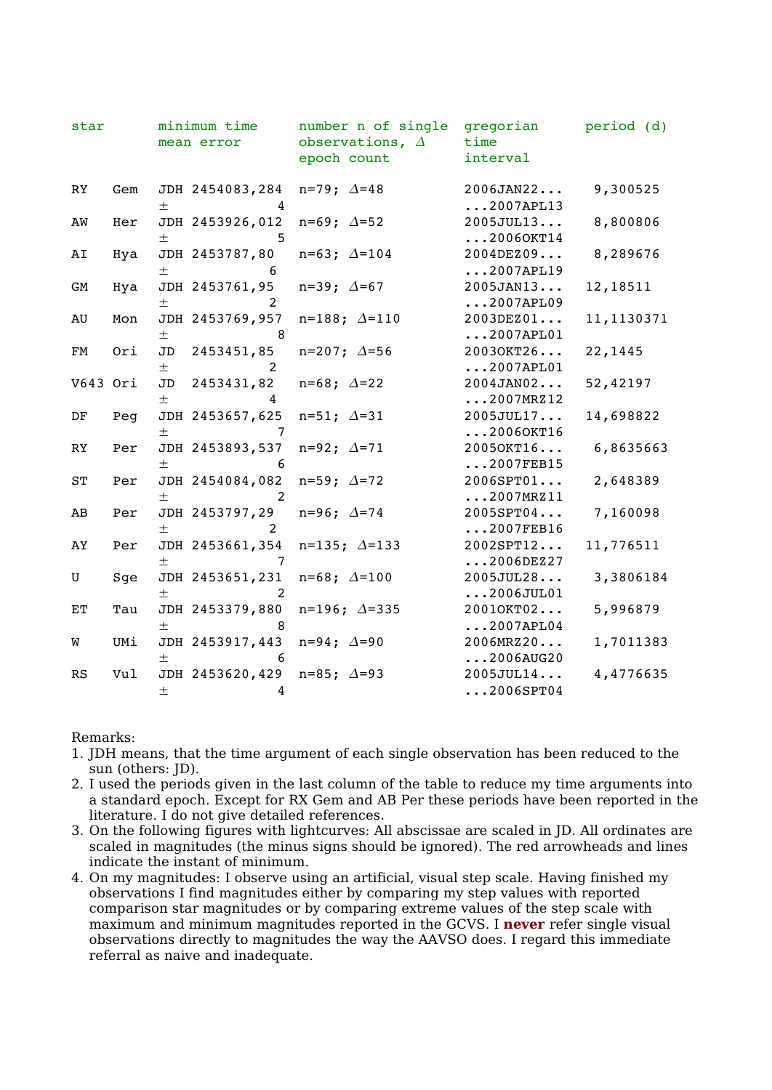| star     |     |                   | minimum time<br>mean error              | number n of single<br>observations, $\Delta$<br>epoch count | gregorian<br>time<br>interval   | period (d) |
|----------|-----|-------------------|-----------------------------------------|-------------------------------------------------------------|---------------------------------|------------|
| RY       | Gem | $^{+}$            | JDH 2454083,284<br>4                    | $n=79; \Delta=48$                                           | 2006JAN22<br>$\ldots$ 2007APL13 | 9,300525   |
| AW       | Her | $\pm$             | JDH 2453926,012<br>5                    | $n = 69; \Delta = 52$                                       | 2005JUL13<br>20060KT14          | 8,800806   |
| AI       | Hya | $^{+}$            | JDH 2453787,80<br>6                     | $n=63; \Delta=104$                                          | 2004DEZ09<br>$\ldots$ 2007APL19 | 8,289676   |
| GM       | Hya | 土                 | JDH 2453761,95<br>2                     | $n=39; \Delta=67$                                           | 2005JAN13<br>2007APL09          | 12,18511   |
| AU       | Mon | 土                 | JDH 2453769,957<br>8                    | $n=188; \Delta=110$                                         | 2003DEZ01<br>$\ldots$ 2007APL01 | 11,1130371 |
| FM       | Ori | 土                 | JD 2453451,85<br>2                      | $n=207; \Delta=56$                                          | 20030KT26<br>$\ldots$ 2007APL01 | 22,1445    |
| V643 Ori |     | JD<br>$^{+}$      | 2453431,82<br>4                         | $n=68; \Delta=22$                                           | 2004JAN02<br>2007MRZ12          | 52,42197   |
| DF       | Peg | $\pm$             | JDH 2453657,625<br>7                    | $n=51; \Delta=31$                                           | 2005JUL17<br>$20060$ KT16       | 14,698822  |
| RY       | Per | $\pm$             | JDH 2453893,537<br>6                    | n=92; $\Delta$ =71                                          | 2005OKT16<br>$\ldots$ 2007FEB15 | 6,8635663  |
| ST       | Per | $\pm$             | JDH 2454084,082<br>$\mathfrak{D}$       | $n = 59; \Delta = 72$                                       | 2006SPT01<br>$\ldots$ 2007MRZ11 | 2,648389   |
| AB       | Per | $\pm$             | JDH 2453797,29<br>2                     | $n = 96; \Delta = 74$                                       | 2005SPT04<br>$\ldots$ 2007FEB16 | 7,160098   |
| ΑY       | Per | $^{+}$            | JDH 2453661,354<br>7                    | $n=135; \Delta=133$                                         | 2002SPT12<br>$2006$ DEZ27       | 11,776511  |
| U        | Sqe | $^{+}$            | JDH 2453651,231<br>2                    | $n=68; \Delta=100$                                          | 2005JUL28<br>2006JUL01          | 3,3806184  |
| EТ       | Tau | $\pm$             | JDH 2453379,880<br>8                    | $n = 196; \Delta = 335$                                     | 2001OKT02<br>$\ldots$ 2007APL04 | 5,996879   |
| W        | UMi | $\qquad \qquad +$ | JDH 2453917,443 $n=94; \Delta=90$<br>6  |                                                             | 2006MRZ20<br>$2006$ AUG20       | 1,7011383  |
| RS       | Vul | 土                 | JDH 2453620,429 n=85; $\Delta$ =93<br>4 |                                                             | 2005JUL14<br>$\ldots$ 2006SPT04 | 4,4776635  |

Remarks:

- 1. JDH means, that the time argument of each single observation has been reduced to the sun (others: JD).
- 2. I used the periods given in the last column of the table to reduce my time arguments into a standard epoch. Except for RX Gem and AB Per these periods have been reported in the literature. I do not give detailed references.
- 3. On the following figures with lightcurves: All abscissae are scaled in JD. All ordinates are scaled in magnitudes (the minus signs should be ignored). The red arrowheads and lines indicate the instant of minimum.
- 4. On my magnitudes: I observe using an artificial, visual step scale. Having finished my observations I find magnitudes either by comparing my step values with reported comparison star magnitudes or by comparing extreme values of the step scale with maximum and minimum magnitudes reported in the GCVS. I **never** refer single visual observations directly to magnitudes the way the AAVSO does. I regard this immediate referral as naive and inadequate.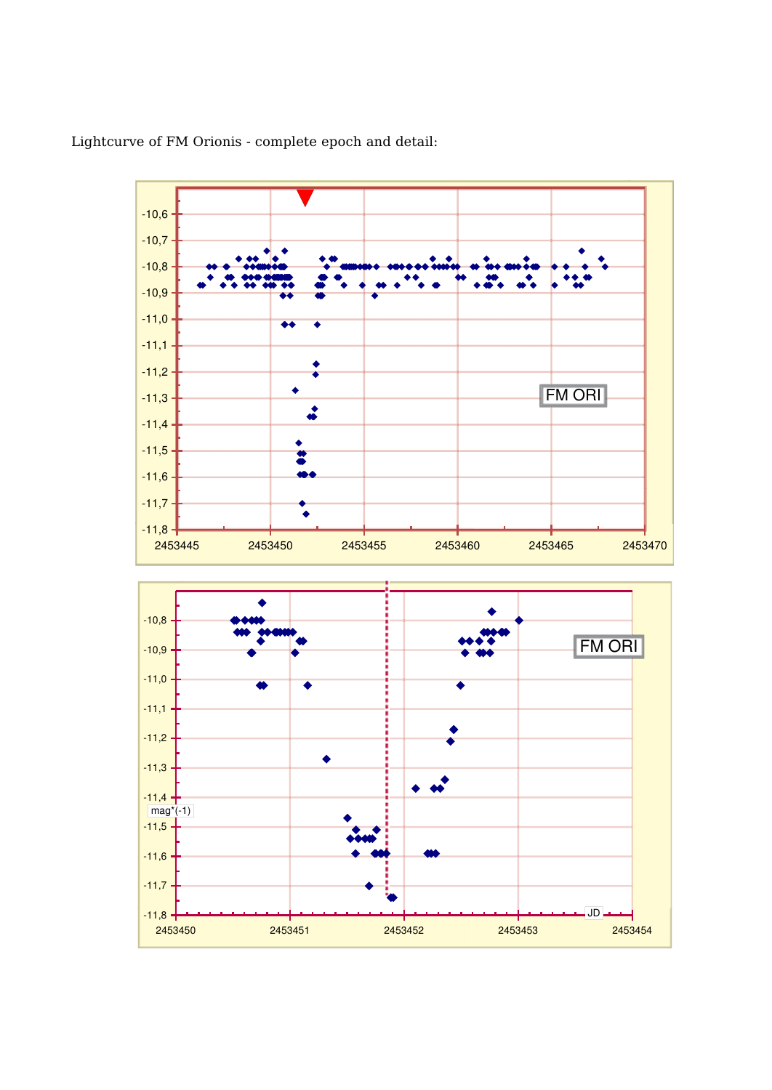

Lightcurve of FM Orionis - complete epoch and detail: